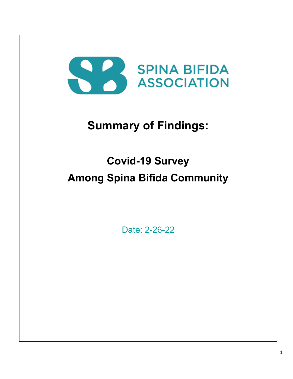# SPINA BIFIDA

## **Summary of Findings:**

# **Covid-19 Survey Among Spina Bifida Community**

Date: 2-26-22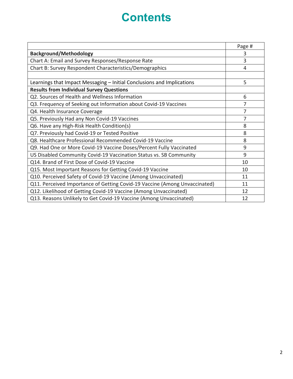### **Contents**

|                                                                            | Page #         |
|----------------------------------------------------------------------------|----------------|
| <b>Background/Methodology</b>                                              | 3              |
| Chart A: Email and Survey Responses/Response Rate                          | 3              |
| Chart B: Survey Respondent Characteristics/Demographics                    | 4              |
|                                                                            |                |
| Learnings that Impact Messaging - Initial Conclusions and Implications     | 5              |
| <b>Results from Individual Survey Questions</b>                            |                |
| Q2. Sources of Health and Wellness Information                             | 6              |
| Q3. Frequency of Seeking out Information about Covid-19 Vaccines           | $\overline{7}$ |
| Q4. Health Insurance Coverage                                              | 7              |
| Q5. Previously Had any Non Covid-19 Vaccines                               | 7              |
| Q6. Have any High-Risk Health Condition(s)                                 | 8              |
| Q7. Previously had Covid-19 or Tested Positive                             | 8              |
| Q8. Healthcare Professional Recommended Covid-19 Vaccine                   | 8              |
| Q9. Had One or More Covid-19 Vaccine Doses/Percent Fully Vaccinated        | 9              |
| US Disabled Community Covid-19 Vaccination Status vs. SB Community         | 9              |
| Q14. Brand of First Dose of Covid-19 Vaccine                               | 10             |
| Q15. Most Important Reasons for Getting Covid-19 Vaccine                   | 10             |
| Q10. Perceived Safety of Covid-19 Vaccine (Among Unvaccinated)             | 11             |
| Q11. Perceived Importance of Getting Covid-19 Vaccine (Among Unvaccinated) | 11             |
| Q12. Likelihood of Getting Covid-19 Vaccine (Among Unvaccinated)           | 12             |
| Q13. Reasons Unlikely to Get Covid-19 Vaccine (Among Unvaccinated)         | 12             |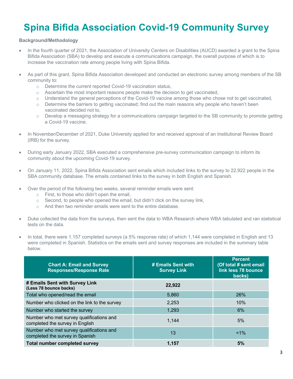### **Spina Bifida Association Covid-19 Community Survey**

#### **Background/Methodology**

- In the fourth quarter of 2021, the Association of University Centers on Disabilities (AUCD) awarded a grant to the Spina Bifida Association (SBA) to develop and execute a communications campaign, the overall purpose of which is to increase the vaccination rate among people living with Spina Bifida.
- As part of this grant, Spina Bifida Association developed and conducted an electronic survey among members of the SB community to:
	- o Determine the current reported Covid-19 vaccination status,
	- $\circ$  Ascertain the most important reasons people make the decision to get vaccinated,
	- o Understand the general perceptions of the Covid-19 vaccine among those who chose not to get vaccinated,
	- o Determine the barriers to getting vaccinated; find out the main reasons why people who haven't been vaccinated decided not to,
	- o Develop a messaging strategy for a communications campaign targeted to the SB community to promote getting a Covid-19 vaccine.
- In November/December of 2021, Duke University applied for and received approval of an Institutional Review Board (IRB) for the survey.
- During early January 2022, SBA executed a comprehensive pre-survey communication campaign to inform its community about the upcoming Covid-19 survey.
- On January 11, 2022, Spina Bifida Association sent emails which included links to the survey to 22,922 people in the SBA community database. The emails contained links to the survey in both English and Spanish.
- Over the period of the following two weeks, several reminder emails were sent:
	- o First, to those who didn't open the email,
	- $\circ$  Second, to people who opened the email, but didn't click on the survey link,
	- o And then two reminder emails were sent to the entire database.
- Duke collected the data from the surveys, then sent the data to WBA Research where WBA tabulated and ran statistical tests on the data.
- In total, there were 1,157 completed surveys (a 5% response rate) of which 1,144 were completed in English and 13 were completed in Spanish. Statistics on the emails sent and survey responses are included in the summary table below.

| <b>Chart A: Email and Survey</b><br><b>Responses/Response Rate</b>          | # Emails Sent with<br><b>Survey Link</b> | <b>Percent</b><br>(Of total # sent email<br>link less 78 bounce<br>backs) |
|-----------------------------------------------------------------------------|------------------------------------------|---------------------------------------------------------------------------|
| # Emails Sent with Survey Link<br>(Less 78 bounce backs)                    | 22,922                                   |                                                                           |
| Total who opened/read the email                                             | 5,860                                    | 26%                                                                       |
| Number who clicked on the link to the survey                                | 2,253                                    | 10%                                                                       |
| Number who started the survey                                               | 1,293                                    | 6%                                                                        |
| Number who met survey qualifications and<br>completed the survey in English | 1,144                                    | 5%                                                                        |
| Number who met survey qualifications and<br>completed the survey in Spanish | 13                                       | $< 1\%$                                                                   |
| <b>Total number completed survey</b>                                        | 1,157                                    | 5%                                                                        |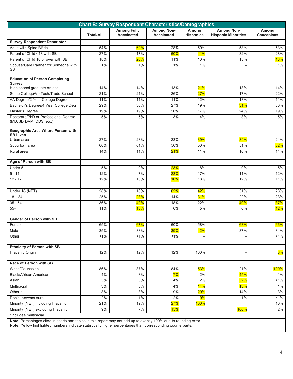| <b>Chart B: Survey Respondent Characteristics/Demographics</b>  |                  |                                  |                                        |                           |                                                 |                            |
|-----------------------------------------------------------------|------------------|----------------------------------|----------------------------------------|---------------------------|-------------------------------------------------|----------------------------|
|                                                                 | <b>Total/All</b> | <b>Among Fully</b><br>Vaccinated | <b>Among Non-</b><br><b>Vaccinated</b> | Among<br><b>Hispanics</b> | <b>Among Non-</b><br><b>Hispanic Minorities</b> | Among<br><b>Caucasians</b> |
| <b>Survey Respondent Descriptor</b>                             |                  |                                  |                                        |                           |                                                 |                            |
| Adult with Spina Bifida                                         | 54%              | 62%                              | 28%                                    | 50%                       | 53%                                             | 53%                        |
| Parent of Child <18 with SB                                     | 27%              | 17%                              | 60%                                    | 41%                       | 32%                                             | 28%                        |
| Parent of Child 18 or over with SB                              | 18%              | 20%                              | 11%                                    | 10%                       | 15%                                             | 18%                        |
| Spouse/Care Partner for Someone with<br>SB                      | 1%               | 1%                               | $1\%$                                  | $1\%$                     | $\overline{\phantom{a}}$                        | 1%                         |
| <b>Education of Person Completing</b><br><b>Survey</b>          |                  |                                  |                                        |                           |                                                 |                            |
| High school graduate or less                                    | 14%              | 14%                              | 13%                                    | 21%                       | 13%                                             | 14%                        |
| Some College/Vo Tech/Trade School                               | 21%              | 21%                              | 26%                                    | 27%                       | 17%                                             | 22%                        |
| AA Degree/2 Year College Degree                                 | 11%              | 11%                              | 11%                                    | 12%                       | 13%                                             | 11%                        |
| Bachelor's Degree/4 Year College Deg                            | 29%              | 30%                              | 27%                                    | 19%                       | 31%                                             | 30%                        |
| Master's Degree                                                 | 19%              | 19%                              | 20%                                    | 17%                       | 24%                                             | 19%                        |
| Doctorate/PhD or Professional Degree<br>(MD, JD DVM, DDS, etc.) | 5%               | 5%                               | 3%                                     | 14%                       | 3%                                              | 5%                         |
| <b>Geographic Area Where Person with</b><br><b>SB Lives</b>     |                  |                                  |                                        |                           |                                                 |                            |
| Urban area                                                      | 27%              | 28%                              | 23%                                    | <b>39%</b>                | 39%                                             | 24%                        |
| Suburban area                                                   | 60%              | 61%                              | 56%                                    | 50%                       | 51%                                             | 62%                        |
| Rural area                                                      | 14%              | 11%                              | 21%                                    | 11%                       | 10%                                             | 14%                        |
| Age of Person with SB                                           |                  |                                  |                                        |                           |                                                 |                            |
| Under 5                                                         | 5%               | 0%                               | <b>23%</b>                             | 8%                        | 9%                                              | 5%                         |
| $5 - 11$                                                        | 12%              | 7%                               | <b>23%</b>                             | 17%                       | 11%                                             | 12%                        |
| $12 - 17$                                                       | 12%              | 10%                              | <b>16%</b>                             | 18%                       | 12%                                             | 11%                        |
| Under 18 (NET)                                                  | 28%              | 18%                              | 62%                                    | 42%                       | 31%                                             | 28%                        |
| $18 - 34$                                                       | 25%              | 28%                              | 14%                                    | 31%                       | 22%                                             | 23%                        |
| $35 - 54$                                                       | 36%              | 42%                              | 18%                                    | 22%                       | 40%                                             | 37%                        |
| $55+$                                                           | 11%              | 13%                              | 6%                                     | 5%                        | 6%                                              | 12%                        |
|                                                                 |                  |                                  |                                        |                           |                                                 |                            |
| <b>Gender of Person with SB</b>                                 |                  |                                  |                                        |                           |                                                 |                            |
| Female                                                          | 65%              | 67%                              | 60%                                    | 58%                       | 63%                                             | 66%                        |
| Male                                                            | 35%              | 33%                              | 39%                                    | 42%                       | 37%                                             | 34%                        |
| Other                                                           | $1\%$            | <1%                              | <1%                                    | --                        | --                                              | $1\%$                      |
| <b>Ethnicity of Person with SB</b>                              |                  |                                  |                                        |                           |                                                 |                            |
| Hispanic Origin                                                 | 12%              | 12%                              | 12%                                    | 100%                      | --                                              | 8%                         |
| Race of Person with SB                                          |                  |                                  |                                        |                           |                                                 |                            |
| White/Caucasian                                                 | 86%              | 87%                              | 84%                                    | 53%                       | 21%                                             | 100%                       |
| <b>Black/African American</b>                                   | 4%               | 3%                               | 7%                                     | 2%                        | 45%                                             | $1\%$                      |
| Asian                                                           | 3%               | 3%                               | 4%                                     | 2%                        | 32%                                             | $1\%$                      |
| Multiracial                                                     | 3%               | 3%                               | 4%                                     | <b>14%</b>                | 13%                                             | $1\%$                      |
| Other*                                                          | 8%               | 8%                               | 9%                                     | 20%                       | 14%                                             | 3%                         |
| Don't know/not sure                                             | 2%               | $1\%$                            | 2%                                     | 9%                        | 1%                                              | $< 1\%$                    |
| Minority (NET) including Hispanic                               | 21%              | 19%                              | 27%                                    | <b>100%</b>               |                                                 | 10%                        |
| Minority (NET) excluding Hispanic                               | 9%               | 7%                               | 15%                                    |                           | <b>100%</b>                                     | $2\%$                      |
| *Includes multiracial                                           |                  |                                  |                                        |                           |                                                 |                            |

**Note:** Percentages cited in charts and tables in this report may not add up to exactly 100% due to rounding error.

**Note:** Yellow highlighted numbers indicate statistically higher percentages than corresponding counterparts.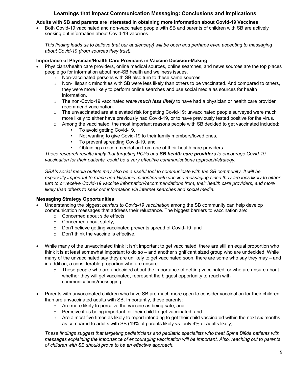#### **Learnings that Impact Communication Messaging: Conclusions and Implications**

#### **Adults with SB and parents are interested in obtaining more information about Covid-19 Vaccines**

• Both Covid-19 vaccinated and non-vaccinated people with SB and parents of children with SB are actively seeking out information about Covid-19 vaccines.

*This finding leads us to believe that our audience(s) will be open and perhaps even accepting to messaging about Covid-19 (from sources they trust).*

#### **Importance of Physician/Health Care Providers in Vaccine Decision-Making**

- Physicians/health care providers, online medical sources, online searches, and news sources are the top places people go for information about non-SB health and wellness issues.
	- o Non-vaccinated persons with SB also turn to these same sources.
	- $\circ$  Non-Hispanic minorities with SB were less likely than others to be vaccinated. And compared to others, they were more likely to perform online searches and use social media as sources for health information.
	- o The non-Covid-19 vaccinated *were much less likely* to have had a physician or health care provider recommend vaccination.
	- $\circ$  The unvaccinated are at elevated risk for getting Covid-19; unvaccinated people surveyed were much more likely to either have previously had Covid-19, or to have previously tested positive for the virus.
	- o Among the vaccinated, the most important reasons people with SB decided to get vaccinated included:
		- To avoid getting Covid-19,
		- Not wanting to give Covid-19 to their family members/loved ones,
		- To prevent spreading Covid-19, and
		- Obtaining a recommendation from one of their health care providers.

*These research results imply that targeting PCPs and SB health care providers to encourage Covid-19 vaccination for their patients, could be a very effective communications approach/strategy.*

*SBA's social media outlets may also be a useful tool to communicate with the SB community. It will be especially important to reach non-Hispanic minorities with vaccine messaging since they are less likely to either turn to or receive Covid-19 vaccine information/recommendations from, their health care providers, and more likely than others to seek out information via internet searches and social media.*

#### **Messaging Strategy Opportunities**

- Understanding the biggest *barriers to Covid-19 vaccination* among the SB community can help develop communication messages that address their reluctance. The biggest barriers to vaccination are:
	- o Concerned about side effects,
	- o Concerned about safety,
	- o Don't believe getting vaccinated prevents spread of Covid-19, and
	- o Don't think the vaccine is effective.
- While many of the unvaccinated think it isn't important to get vaccinated, there are still an equal proportion who think it is at least somewhat important to do so – and another significant sized group who are undecided. While many of the unvaccinated say they are unlikely to get vaccinated soon, there are some who say they may – and in addition, a considerable proportion who are unsure.
	- $\circ$  These people who are undecided about the importance of getting vaccinated, or who are unsure about whether they will get vaccinated, represent the biggest opportunity to reach with communications/messaging.
- Parents with unvaccinated children who have SB are much more open to consider vaccination for their children than are unvaccinated adults with SB. Importantly, these parents:
	- o Are more likely to perceive the vaccine as being safe, and
	- o Perceive it as being important for their child to get vaccinated, and
	- $\circ$  Are almost five times as likely to report intending to get their child vaccinated within the next six months as compared to adults with SB (19% of parents likely vs. only 4% of adults likely).

*These findings suggest that targeting pediatricians and pediatric specialists who treat Spina Bifida patients with messages explaining the importance of encouraging vaccination will be important. Also, reaching out to parents of children with SB should prove to be an effective approach.*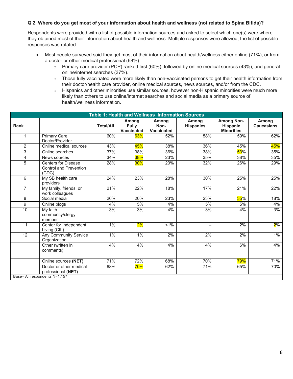#### **Q 2. Where do you get most of your information about health and wellness (not related to Spina Bifida)?**

Respondents were provided with a list of possible information sources and asked to select which one(s) were where they obtained most of their information about health and wellness. Multiple responses were allowed; the list of possible responses was rotated.

- Most people surveyed said they get most of their information about health/wellness either online (71%), or from a doctor or other medical professional (68%).
	- o Primary care provider (PCP) ranked first (60%), followed by online medical sources (43%), and general online/internet searches (37%).
	- o Those fully vaccinated were more likely than non-vaccinated persons to get their health information from their doctor/health care provider, online medical sources, news sources, and/or from the CDC.
	- $\circ$  Hispanics and other minorities use similar sources, however non-Hispanic minorities were much more likely than others to use online/internet searches and social media as a primary source of health/wellness information.

|                | <b>Table 1: Health and Wellness Information Sources</b>              |                  |                                     |                                    |                           |                                                           |                            |  |
|----------------|----------------------------------------------------------------------|------------------|-------------------------------------|------------------------------------|---------------------------|-----------------------------------------------------------|----------------------------|--|
| <b>Rank</b>    |                                                                      | <b>Total/All</b> | Among<br><b>Fully</b><br>Vaccinated | Among<br>Non-<br><b>Vaccinated</b> | Among<br><b>Hispanics</b> | <b>Among Non-</b><br><b>Hispanic</b><br><b>Minorities</b> | Among<br><b>Caucasians</b> |  |
| $\mathbf{1}$   | Primary Care<br>Doctor/Provider                                      | 60%              | 63%                                 | 52%                                | 58%                       | 59%                                                       | 62%                        |  |
| $\overline{2}$ | Online medical sources                                               | 43%              | 45%                                 | 38%                                | 36%                       | 45%                                                       | 45%                        |  |
| 3              | Online searches                                                      | 37%              | 38%                                 | 36%                                | 38%                       | 53%                                                       | 35%                        |  |
| 4              | News sources                                                         | 34%              | 38%                                 | 23%                                | 35%                       | 38%                                                       | 35%                        |  |
| $\overline{5}$ | <b>Centers for Disease</b><br><b>Control and Prevention</b><br>(CDC) | 28%              | 30%                                 | 20%                                | 32%                       | 26%                                                       | 29%                        |  |
| 6              | My SB health care<br>providers                                       | 24%              | 23%                                 | 28%                                | 30%                       | 25%                                                       | 25%                        |  |
| $\overline{7}$ | My family, friends, or<br>work colleagues                            | 21%              | 22%                                 | 18%                                | 17%                       | 21%                                                       | 22%                        |  |
| 8              | Social media                                                         | 20%              | 20%                                 | 23%                                | 23%                       | 35%                                                       | 18%                        |  |
| 9              | Online blogs                                                         | $4\%$            | 5%                                  | 4%                                 | $5%$                      | 5%                                                        | 4%                         |  |
| 10             | My faith<br>community/clergy<br>member                               | 3%               | 3%                                  | 4%                                 | 3%                        | 4%                                                        | 3%                         |  |
| 11             | Center for Independent<br>Living (CIL)                               | 1%               | 2%                                  | $< 1\%$                            | $\overline{\phantom{a}}$  | 2%                                                        | $2\%$                      |  |
| 12             | <b>Any Community Service</b><br>Organization                         | 1%               | 1%                                  | 2%                                 | 2%                        | 2%                                                        | 1%                         |  |
|                | Other (written in<br>comments)                                       | 4%               | 4%                                  | 4%                                 | 4%                        | 6%                                                        | 4%                         |  |
|                | Online sources (NET)                                                 | 71%              | 72%                                 | 68%                                | 70%                       | 79%                                                       | 71%                        |  |
|                | Doctor or other medical<br>professional (NET)                        | 68%              | 70%                                 | 62%                                | 71%                       | 65%                                                       | 70%                        |  |
|                | Base= All respondents N=1,157                                        |                  |                                     |                                    |                           |                                                           |                            |  |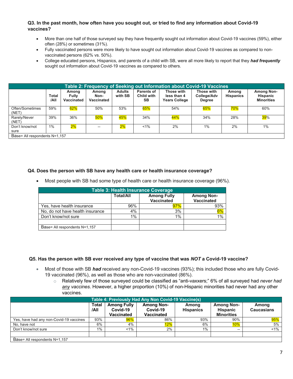#### **Q3. In the past month, how often have you sought out, or tried to find any information about Covid-19 vaccines?**

- More than one half of those surveyed say they have frequently sought out information about Covid-19 vaccines (59%), either often (28%) or sometimes (31%).
- Fully vaccinated persons were more likely to have sought out information about Covid-19 vaccines as compared to nonvaccinated persons (62% vs. 50%).
- College educated persons, Hispanics, and parents of a child with SB, were all more likely to report that they *had frequently*  sought out information about Covid-19 vaccines as compared to others.

| Table 2: Frequency of Seeking out Information about Covid-19 Vaccines |                               |                                     |                             |                          |                                                     |                                                   |                                            |                           |                                                           |
|-----------------------------------------------------------------------|-------------------------------|-------------------------------------|-----------------------------|--------------------------|-----------------------------------------------------|---------------------------------------------------|--------------------------------------------|---------------------------|-----------------------------------------------------------|
|                                                                       | Total<br>/AII                 | Among<br><b>Fully</b><br>Vaccinated | Among<br>Non-<br>Vaccinated | <b>Adults</b><br>with SB | <b>Parents of</b><br><b>Child with</b><br><b>SB</b> | Those with<br>less than 4<br><b>Years College</b> | Those with<br>College/Adv<br><b>Degree</b> | Among<br><b>Hispanics</b> | <b>Among Non-</b><br><b>Hispanic</b><br><b>Minorities</b> |
| Often/Sometimes<br>(NET)                                              | 59%                           | 62%                                 | 50%                         | 53%                      | 65%                                                 | 54%                                               | 65%                                        | 70%                       | 60%                                                       |
| Rarely/Never<br>(NET)                                                 | 39%                           | 36%                                 | 50%                         | 45%                      | 34%                                                 | 44%                                               | 34%                                        | 28%                       | $39\%$                                                    |
| Don't know/not<br>sure                                                | $1\%$                         | $2\%$                               | $-$                         | $2\%$                    | $1\%$                                               | 2%                                                | $1\%$                                      | 2%                        | 1%                                                        |
|                                                                       | Base= All respondents N=1,157 |                                     |                             |                          |                                                     |                                                   |                                            |                           |                                                           |

#### **Q4. Does the person with SB have any health care or health insurance coverage?**

• Most people with SB had some type of health care or health insurance coverage (96%).

| <b>Table 3: Health Insurance Coverage</b> |                  |                                         |                                        |  |  |  |  |
|-------------------------------------------|------------------|-----------------------------------------|----------------------------------------|--|--|--|--|
|                                           | <b>Total/All</b> | <b>Among Fully</b><br><b>Vaccinated</b> | <b>Among Non-</b><br><b>Vaccinated</b> |  |  |  |  |
| Yes, have health insurance                | 96%              | $97\%$                                  | 93%                                    |  |  |  |  |
| No, do not have health insurance          | 4%               | 3%                                      | 6%                                     |  |  |  |  |
| Don't know/not sure                       | 1%               | 1%                                      | 1%                                     |  |  |  |  |
|                                           |                  |                                         |                                        |  |  |  |  |
| Base= All respondents N=1,157             |                  |                                         |                                        |  |  |  |  |

#### **Q5. Has the person with SB ever received any type of vaccine that was** *NOT* **a Covid-19 vaccine?**

- Most of those with SB *had* received any non-Covid-19 vaccines (93%); this included those who are fully Covid-19 vaccinated (96%), as well as those who are non-vaccinated (86%).
	- o Relatively few of those surveyed could be classified as "anti-vaxxers;" 6% of all surveyed had *never had any vaccines*. However, a higher proportion (10%) of non-Hispanic minorities had never had any other vaccines.

| Table 4: Previously Had Any Non Covid-19 Vaccine(s) |                      |                                              |                                                    |                           |                                                           |                            |
|-----------------------------------------------------|----------------------|----------------------------------------------|----------------------------------------------------|---------------------------|-----------------------------------------------------------|----------------------------|
|                                                     | <b>Total</b><br>/AII | <b>Among Fully</b><br>Covid-19<br>Vaccinated | <b>Among Non-</b><br>Covid-19<br><b>Vaccinated</b> | Among<br><b>Hispanics</b> | <b>Among Non-</b><br><b>Hispanic</b><br><b>Minorities</b> | Among<br><b>Caucasians</b> |
| Yes, have had any non-Covid-19 vaccines             | 93%                  | $96\%$                                       | 86%                                                | 93%                       | 90%                                                       | 95%                        |
| No. have not                                        | 6%                   | 4%                                           | 12%                                                | 6%                        | <b>10%</b>                                                | 5%                         |
| Don't know/not sure                                 | $1\%$                | $1\%$                                        | 2%                                                 | $1\%$ .                   | $- -$                                                     | $< 1\%$                    |
|                                                     |                      |                                              |                                                    |                           |                                                           |                            |
| Base= All respondents N=1,157                       |                      |                                              |                                                    |                           |                                                           |                            |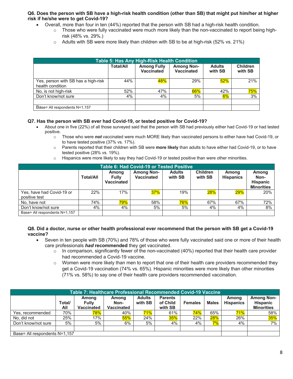#### **Q6. Does the person with SB have a high-risk health condition (other than SB) that might put him/her at higher risk if he/she were to get Covid-19?**

- Overall, more than four in ten (44%) reported that the person with SB had a high-risk health condition.
	- $\circ$  Those who were fully vaccinated were much more likely than the non-vaccinated to report being highrisk (48% vs. 29%.)
	- o Adults with SB were more likely than children with SB to be at high-risk (52% vs. 21%)

| Table 5: Has Any High-Risk Health Condition             |                  |                                  |                                        |                          |                            |  |
|---------------------------------------------------------|------------------|----------------------------------|----------------------------------------|--------------------------|----------------------------|--|
|                                                         | <b>Total/All</b> | <b>Among Fully</b><br>Vaccinated | <b>Among Non-</b><br><b>Vaccinated</b> | <b>Adults</b><br>with SB | <b>Children</b><br>with SB |  |
| Yes, person with SB has a high-risk<br>health condition | 44%              | 48%                              | <b>29%</b>                             | 52%                      | 21%                        |  |
| No, is not high-risk                                    | 52%              | 47%                              | 66%                                    | 42%                      | 75%                        |  |
| Don't know/not sure                                     | 4%               | 4%                               | 5%                                     | $6\%$                    | 3%                         |  |
|                                                         |                  |                                  |                                        |                          |                            |  |
| Base= All respondents N=1,157                           |                  |                                  |                                        |                          |                            |  |

#### **Q7. Has the person with SB ever had Covid-19, or tested positive for Covid-19?**

- About one in five (22%) of all those surveyed said that the person with SB had previously either had Covid-19 or had tested positive.
	- o Those who were *not* vaccinated were much MORE likely than vaccinated persons to either have had Covid-19, or to have tested positive (37% vs. 17%).
	- o Parents reported that their children with SB were **more likely** than adults to have either had Covid-19, or to have tested positive (28% vs. 19%).
	- $\circ$  Hispanics were more likely to say they had Covid-19 or tested positive than were other minorities.

|                               | <b>Table 6: Had Covid-19 or Tested Positive</b> |                              |                                 |                          |                            |                           |                                                       |  |
|-------------------------------|-------------------------------------------------|------------------------------|---------------------------------|--------------------------|----------------------------|---------------------------|-------------------------------------------------------|--|
|                               | <b>Total/All</b>                                | Among<br>Fully<br>Vaccinated | <b>Among Non-</b><br>Vaccinated | <b>Adults</b><br>with SB | <b>Children</b><br>with SB | Among<br><b>Hispanics</b> | Among<br>Non-<br><b>Hispanic</b><br><b>Minorities</b> |  |
| Yes, have had Covid-19 or     | 22%                                             | 17%                          | 37%                             | 19%                      | $28\%$                     | 29%                       | 20%                                                   |  |
| positive test                 |                                                 |                              |                                 |                          |                            |                           |                                                       |  |
| No. have not                  | 74%                                             | 79%                          | 58%                             | 76%                      | 67%                        | 67%                       | 72%                                                   |  |
| Don't know/not sure           | 4%                                              | 4%                           | 5%                              | 5%                       | 4%                         | 4%                        | 8%                                                    |  |
| Base= All respondents N=1,157 |                                                 |                              |                                 |                          |                            |                           |                                                       |  |

#### **Q8. Did a doctor, nurse or other health professional ever recommend that the person with SB get a Covid-19 vaccine?**

- Seven in ten people with SB (70%) and 78% of those who were fully vaccinated said one or more of their health care professionals *had* **recommended** they get vaccinated.
	- $\circ$  In comparison, significantly fewer of the non-vaccinated (40%) reported that their health care provider had recommended a Covid-19 vaccine.
	- o Women were more likely than men to report that one of their health care providers recommended they get a Covid-19 vaccination (74% vs. 65%). Hispanic minorities were more likely than other minorities (71% vs. 58%) to say one of their health care providers recommended vaccination.

| <b>Table 7: Healthcare Professional Recommended Covid-19 Vaccine</b> |                               |                                     |                                    |                          |                                       |                |              |                           |                                                           |
|----------------------------------------------------------------------|-------------------------------|-------------------------------------|------------------------------------|--------------------------|---------------------------------------|----------------|--------------|---------------------------|-----------------------------------------------------------|
|                                                                      | Total/<br>All                 | Among<br><b>Fully</b><br>Vaccinated | Among<br>Non-<br><b>Vaccinated</b> | <b>Adults</b><br>with SB | <b>Parents</b><br>of Child<br>with SB | <b>Females</b> | <b>Males</b> | Among<br><b>Hispanics</b> | <b>Among Non-</b><br><b>Hispanic</b><br><b>Minorities</b> |
| Yes, recommended                                                     | 70%                           | 78%                                 | 40%                                | <b>71%</b>               | 61%                                   | 74%            | 65%          | 71%                       | 58%                                                       |
| No. did not                                                          | 25%                           | 17%                                 | 55%                                | 24%                      | 35%                                   | 22%            | 28%          | 26%                       | $35\%$                                                    |
| Don't know/not sure                                                  | 5%                            | 5%                                  | 6%                                 | 5%                       | 4%                                    | 4%             | $7\%$        | 4%                        | $7\%$                                                     |
|                                                                      |                               |                                     |                                    |                          |                                       |                |              |                           |                                                           |
|                                                                      | Base= All respondents N=1,157 |                                     |                                    |                          |                                       |                |              |                           |                                                           |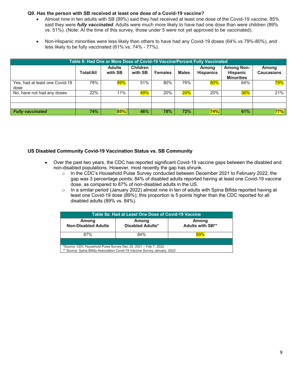#### **Q9. Has the person with SB received at least one dose of a Covid-19 vaccine?**

- Almost nine in ten adults with SB (89%) said they had received at least one dose of the Covid-19 vaccine; 85% said they were *fully vaccinated*. Adults were much more likely to have had one dose than were children (89% vs. 51%). (Note: At the time of this survey, those under 5 were not yet approved to be vaccinated).
- Non-Hispanic minorities were less likely than others to have had any Covid-19 doses (64% vs 79%-80%), and less likely to be fully vaccinated (61% vs. 74% - 77%).

|                                        | Table 8: Had One or More Dose of Covid-19 Vaccine/Percent Fully Vaccinated |                          |                            |                |              |                           |                                                           |                            |
|----------------------------------------|----------------------------------------------------------------------------|--------------------------|----------------------------|----------------|--------------|---------------------------|-----------------------------------------------------------|----------------------------|
|                                        | <b>Total/All</b>                                                           | <b>Adults</b><br>with SB | <b>Children</b><br>with SB | <b>Females</b> | <b>Males</b> | Among<br><b>Hispanics</b> | <b>Among Non-</b><br><b>Hispanic</b><br><b>Minorities</b> | Among<br><b>Caucasians</b> |
| Yes, had at least one Covid-19<br>dose | 78%                                                                        | 89%                      | 51%                        | 80%            | 76%          | $80\%$                    | 64%                                                       | 79%                        |
| No, have not had any doses             | 22%                                                                        | 11%                      | 49%                        | 20%            | 24%          | 20%                       | 36%                                                       | 21%                        |
|                                        |                                                                            |                          |                            |                |              |                           |                                                           |                            |
| <b>Fully vaccinated</b>                | 74%                                                                        | 85%                      | 46%                        | 78%            | 72%          | 74%                       | 61%                                                       | 77%                        |

#### **US Disabled Community Covid-19 Vaccination Status vs. SB Community**

- Over the past two years, the CDC has reported significant Covid-19 vaccine gaps between the disabled and non-disabled populations. However, most recently the gap has shrunk.
	- o In the CDC's Household Pulse Survey conducted between December 2021 to February 2022, the gap was 3 percentage points; 84% of disabled adults reported having at least one Covid-19 vaccine dose, as compared to 87% of non-disabled adults in the US.
	- $\circ$  In a similar period (January 2022) almost nine in ten of adults with Spina Bifida reported having at least one Covid-19 dose (89%); this proportion is 5 points higher than the CDC reported for all disabled adults (89% vs. 84%).

| Table 8a: Had at Least One Dose of Covid-19 Vaccine                                                                                         |     |  |  |  |  |  |  |  |
|---------------------------------------------------------------------------------------------------------------------------------------------|-----|--|--|--|--|--|--|--|
| Among<br>Among<br>Among<br><b>Adults with SB**</b><br><b>Non-Disabled Adults</b><br>Disabled Adults*                                        |     |  |  |  |  |  |  |  |
| 87%                                                                                                                                         | 84% |  |  |  |  |  |  |  |
| *Source: CDC Household Pulse Survey Dec 29, 2021 - Feb 7, 2022<br>** Source: Spina Bifida Association Covid-19 Vaccine Survey January, 2022 |     |  |  |  |  |  |  |  |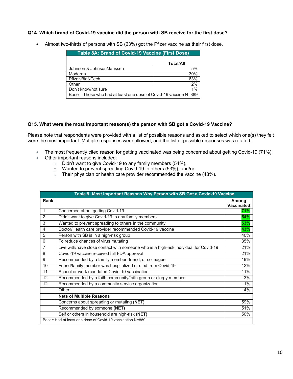#### **Q14. Which brand of Covid-19 vaccine did the person with SB receive for the first dose?**

| Table 8A: Brand of Covid-19 Vaccine (First Dose)                 |                  |  |  |  |
|------------------------------------------------------------------|------------------|--|--|--|
|                                                                  | <b>Total/All</b> |  |  |  |
| Johnson & Johnson/Janssen                                        | 5%               |  |  |  |
| Moderna                                                          | 30%              |  |  |  |
| Pfizer-BioNTech                                                  | 63%              |  |  |  |
| Other                                                            | 2%               |  |  |  |
| Don't know/not sure                                              | $1\%$            |  |  |  |
| Base = Those who had at least one dose of Covid-19 vaccine N=889 |                  |  |  |  |

• Almost two-thirds of persons with SB (63%) got the Pfizer vaccine as their first dose.

#### **Q15. What were the most important reason(s) the person with SB got a Covid-19 Vaccine?**

Please note that respondents were provided with a list of possible reasons and asked to select which one(s) they felt were the most important. Multiple responses were allowed, and the list of possible responses was rotated.

- The most frequently cited reason for getting vaccinated was being concerned about getting Covid-19 (71%).
- Other important reasons included:
	- Didn't want to give Covid-19 to any family members (54%),<br>○ Wanted to prevent spreading Covid-19 to others (53%), and
	- Wanted to prevent spreading Covid-19 to others (53%), and/or
	- $\circ$  Their physician or health care provider recommended the vaccine (43%).

|                | Table 9: Most Important Reasons Why Person with SB Got a Covid-19 Vaccine            |                            |  |  |  |  |
|----------------|--------------------------------------------------------------------------------------|----------------------------|--|--|--|--|
| Rank           |                                                                                      | Among<br><b>Vaccinated</b> |  |  |  |  |
| $\mathbf 1$    | Concerned about getting Covid-19                                                     | 71%                        |  |  |  |  |
| $\mathcal{P}$  | Didn't want to give Covid-19 to any family members                                   | 54%                        |  |  |  |  |
| 3              | Wanted to prevent spreading to others in the community                               | 53%                        |  |  |  |  |
| 4              | Doctor/Health care provider recommended Covid-19 vaccine                             | 43%                        |  |  |  |  |
| 5              | Person with SB is in a high-risk group                                               | 40%                        |  |  |  |  |
| 6              | To reduce chances of virus mutating                                                  | 35%                        |  |  |  |  |
| $\overline{7}$ | Live with/have close contact with someone who is a high-risk individual for Covid-19 | 21%                        |  |  |  |  |
| 8              | Covid-19 vaccine received full FDA approval                                          | 21%                        |  |  |  |  |
| 9              | Recommended by a family member, friend, or colleague                                 | 19%                        |  |  |  |  |
| 10             | Friend/family member was hospitalized or died from Covid-19                          | 12%                        |  |  |  |  |
| 11             | School or work mandated Covid-19 vaccination                                         | 11%                        |  |  |  |  |
| 12             | Recommended by a faith community/faith group or clergy member                        | 3%                         |  |  |  |  |
| 12             | Recommended by a community service organization                                      | 1%                         |  |  |  |  |
|                | Other                                                                                | 4%                         |  |  |  |  |
|                | <b>Nets of Multiple Reasons</b>                                                      |                            |  |  |  |  |
|                | Concerns about spreading or mutating (NET)                                           | 59%                        |  |  |  |  |
|                | Recommended by someone (NET)                                                         | 51%                        |  |  |  |  |
|                | Self or others in household are high-risk (NET)                                      | 50%                        |  |  |  |  |
|                | Base= Had at least one dose of Covid-19 vaccination N=889                            |                            |  |  |  |  |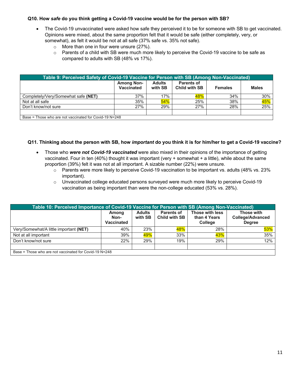#### **Q10. How** *safe* **do you think getting a Covid-19 vaccine would be for the person with SB?**

- The Covid-19 unvaccinated were asked how safe they perceived it to be for someone with SB to get vaccinated. Opinions were mixed, about the same proportion felt that it would be safe (either completely, very, or somewhat), as felt it would be not at all safe (37% safe vs. 35% not safe).
	- o More than one in four were unsure (27%).
	- o Parents of a child with SB were much more likely to perceive the Covid-19 vaccine to be safe as compared to adults with SB (48% vs 17%).

| Table 9: Perceived Safety of Covid-19 Vaccine for Person with SB (Among Non-Vaccinated) |                                 |                          |                                           |                |              |
|-----------------------------------------------------------------------------------------|---------------------------------|--------------------------|-------------------------------------------|----------------|--------------|
|                                                                                         | <b>Among Non-</b><br>Vaccinated | <b>Adults</b><br>with SB | <b>Parents of</b><br><b>Child with SB</b> | <b>Females</b> | <b>Males</b> |
| Completely/Very/Somewhat safe (NET)                                                     | 37%                             | 17%                      | 48%                                       | 34%            | 30%          |
| Not at all safe                                                                         | 35%                             | 54%                      | 25%                                       | 38%            | 45%          |
| Don't know/not sure                                                                     | 27%                             | 29%                      | 27%                                       | 28%            | 25%          |
| $D_{0.005}$ = These who are not vessigated for $C_{0.04}$ 10 N=010                      |                                 |                          |                                           |                |              |

Base = Those who are not vaccinated for Covid-19 N=248

#### **Q11. Thinking about the person with SB, how** *important* **do you think it is for him/her to get a Covid-19 vaccine?**

- Those who *were not Covid-19 vaccinated* were also mixed in their opinions of the importance of getting vaccinated. Four in ten (40%) thought it was important (very + somewhat + a little), while about the same proportion (39%) felt it was not at all important. A sizable number (22%) were unsure.
	- $\circ$  Parents were more likely to perceive Covid-19 vaccination to be important vs. adults (48% vs. 23%) important).
	- o Unvaccinated college educated persons surveyed were much more likely to perceive Covid-19 vaccination as being important than were the non-college educated (53% vs. 28%).

| Table 10: Perceived Importance of Covid-19 Vaccine for Person with SB (Among Non-Vaccinated) |                                    |                          |                                           |                                                   |                                                        |  |
|----------------------------------------------------------------------------------------------|------------------------------------|--------------------------|-------------------------------------------|---------------------------------------------------|--------------------------------------------------------|--|
|                                                                                              | Among<br>Non-<br><b>Vaccinated</b> | <b>Adults</b><br>with SB | <b>Parents of</b><br><b>Child with SB</b> | Those with less<br>than 4 Years<br><b>College</b> | Those with<br><b>College/Advanced</b><br><b>Degree</b> |  |
| Very/Somewhat/A little important (NET)                                                       | 40%                                | 23%                      | 48%                                       | 28%                                               | 53%                                                    |  |
| Not at all important                                                                         | 39%                                | 49%                      | 33%                                       | 43%                                               | 35%                                                    |  |
| Don't know/not sure                                                                          | 22%                                | 29%                      | 19%                                       | 29%                                               | 12%                                                    |  |
|                                                                                              |                                    |                          |                                           |                                                   |                                                        |  |
| Base = Those who are not vaccinated for Covid-19 $N = 248$                                   |                                    |                          |                                           |                                                   |                                                        |  |

Base = Those who are not vaccinated for Covid-19 N=248